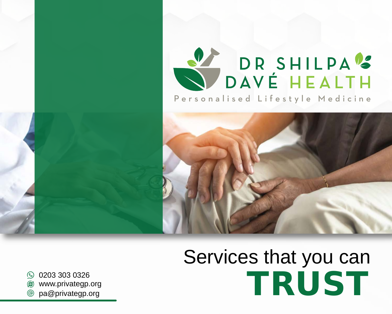



# Services that you can ◎ 0203 303 0326<br> *●* www.privategp.org a@privategp.org americans and a series of the series of the series of the series of the series of the series of the series of the series of the series of the series of the series of

 $\circledast$ www.privategp.org

 $\circledcirc$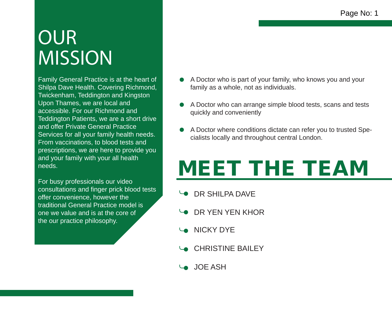# **OUR MISSION**

Family General Practice is at the heart of Shilpa Dave Health. Covering Richmond, Twickenham, Teddington and Kingston Upon Thames, we are local and accessible. For our Richmond and Teddington Patients, we are a short drive and offer Private General Practice Services for all your family health needs. From vaccinations, to blood tests and prescriptions, we are here to provide you and your family with your all health needs.

For busy professionals our video consultations and finger prick blood tests offer convenience, however the traditional General Practice model is one we value and is at the core of the our practice philosophy.

- A Doctor who is part of your family, who knows you and your family as a whole, not as individuals.
- A Doctor who can arrange simple blood tests, scans and tests quickly and conveniently
- A Doctor where conditions dictate can refer you to trusted Specialists locally and throughout central London.

# MEET THE TEAM

- **DR SHILPA DAVE**
- **DR YEN YEN KHOR**
- **NICKY DYE**
- **CHRISTINE BAILEY**
- **JOE ASH**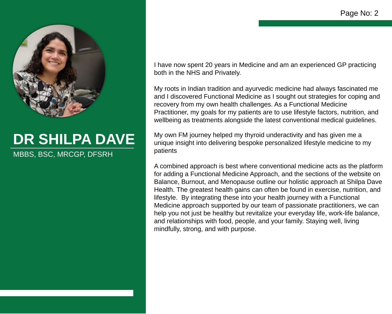

## **DR SHILPA DAVE** MBBS, BSC, MRCGP, DFSRH

I have now spent 20 years in Medicine and am an experienced GP practicing both in the NHS and Privately.

My roots in Indian tradition and ayurvedic medicine had always fascinated me and I discovered Functional Medicine as I sought out strategies for coping and recovery from my own health challenges. As a Functional Medicine Practitioner, my goals for my patients are to use lifestyle factors, nutrition, and wellbeing as treatments alongside the latest conventional medical guidelines.

My own FM journey helped my thyroid underactivity and has given me a unique insight into delivering bespoke personalized lifestyle medicine to my patients

A combined approach is best where conventional medicine acts as the platform for adding a Functional Medicine Approach, and the sections of the website on Balance, Burnout, and Menopause outline our holistic approach at Shilpa Dave Health. The greatest health gains can often be found in exercise, nutrition, and lifestyle. By integrating these into your health journey with a Functional Medicine approach supported by our team of passionate practitioners, we can help you not just be healthy but revitalize your everyday life, work-life balance, and relationships with food, people, and your family. Staying well, living mindfully, strong, and with purpose.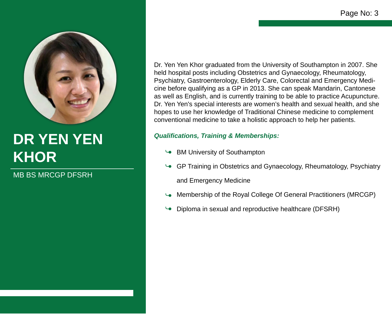

# **DR YEN YEN KHOR**

MB BS MRCGP DFSRH

Dr. Yen Yen Khor graduated from the University of Southampton in 2007. She held hospital posts including Obstetrics and Gynaecology, Rheumatology, Psychiatry, Gastroenterology, Elderly Care, Colorectal and Emergency Medicine before qualifying as a GP in 2013. She can speak Mandarin, Cantonese as well as English, and is currently training to be able to practice Acupuncture. Dr. Yen Yen's special interests are women's health and sexual health, and she hopes to use her knowledge of Traditional Chinese medicine to complement conventional medicine to take a holistic approach to help her patients.

### *Qualifications, Training & Memberships:*

- BM University of Southampton
- GP Training in Obstetrics and Gynaecology, Rheumatology, Psychiatry and Emergency Medicine
- Membership of the Royal College Of General Practitioners (MRCGP)
- Diploma in sexual and reproductive healthcare (DFSRH)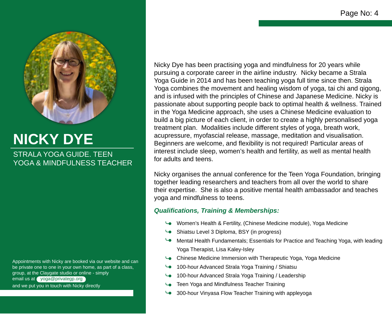

### **NICKY DYE** STRALA YOGA GUIDE. TEEN YOGA & MINDFULNESS TEACHER

Appointments with Nicky are booked via our website and can be private one to one in your own home, as part of a class, group, at the Claygate studio or online - simply email us at yoga@privategp.organd we put you in touch with Nicky directly

Nicky Dye has been practising yoga and mindfulness for 20 years while pursuing a corporate career in the airline industry. Nicky became a Strala Yoga Guide in 2014 and has been teaching yoga full time since then. Strala Yoga combines the movement and healing wisdom of yoga, tai chi and qigong, and is infused with the principles of Chinese and Japanese Medicine. Nicky is passionate about supporting people back to optimal health & wellness. Trained in the Yoga Medicine approach, she uses a Chinese Medicine evaluation to build a big picture of each client, in order to create a highly personalised yoga treatment plan. Modalities include different styles of yoga, breath work, acupressure, myofascial release, massage, meditation and visualisation. Beginners are welcome, and flexibility is not required! Particular areas of interest include sleep, women's health and fertility, as well as mental health for adults and teens.

Nicky organises the annual conference for the Teen Yoga Foundation, bringing together leading researchers and teachers from all over the world to share their expertise. She is also a positive mental health ambassador and teaches yoga and mindfulness to teens.

#### *Qualifications, Training & Memberships:*

- Women's Health & Fertility, (Chinese Medicine module), Yoga Medicine
- Shiatsu Level 3 Diploma, BSY (in progress)
- Mental Health Fundamentals; Essentials for Practice and Teaching Yoga, with leading Yoga Therapist, Lisa Kaley-Isley
- Chinese Medicine Immersion with Therapeutic Yoga, Yoga Medicine
- 100-hour Advanced Strala Yoga Training / Shiatsu
- 100-hour Advanced Strala Yoga Training / Leadership
- Teen Yoga and Mindfulness Teacher Training
- 300-hour Vinyasa Flow Teacher Training with appleyoga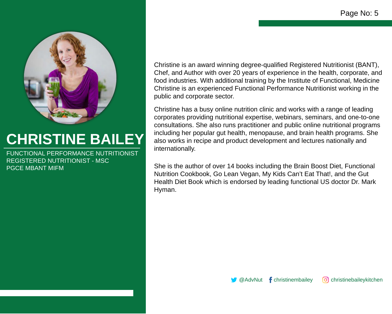

# **CHRISTINE BAILEY**

REGISTERED NUTRITIONIST - MSC PGCE MBANT MIFM FUNCTIONAL PERFORMANCE NUTRITIONIST Christine is an award winning degree-qualified Registered Nutritionist (BANT), Chef, and Author with over 20 years of experience in the health, corporate, and food industries. With additional training by the Institute of Functional, Medicine Christine is an experienced Functional Performance Nutritionist working in the public and corporate sector.

Christine has a busy online nutrition clinic and works with a range of leading corporates providing nutritional expertise, webinars, seminars, and one-to-one consultations. She also runs practitioner and public online nutritional programs including her popular gut health, menopause, and brain health programs. She also works in recipe and product development and lectures nationally and internationally.

She is the author of over 14 books including the Brain Boost Diet, Functional Nutrition Cookbook, Go Lean Vegan, My Kids Can't Eat That!, and the Gut Health Diet Book which is endorsed by leading functional US doctor Dr. Mark Hyman.

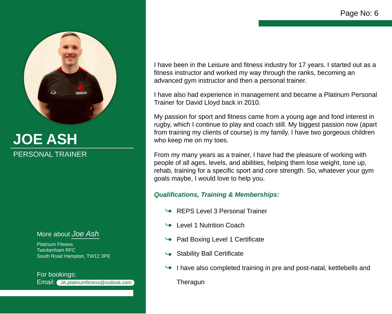

# **JOE ASH**  PERSONAL TRAINER

More about *Joe Ash*

Platinum Fitness Twickenham RFC South Road Hampton, TW12 3PE

Email: JA.platinumfitness@outlook.com For bookings:

I have been in the Leisure and fitness industry for 17 years. I started out as a fitness instructor and worked my way through the ranks, becoming an advanced gym instructor and then a personal trainer.

I have also had experience in management and became a Platinum Personal Trainer for David Lloyd back in 2010.

My passion for sport and fitness came from a young age and fond interest in rugby, which I continue to play and coach still. My biggest passion now (apart from training my clients of course) is my family. I have two gorgeous children who keep me on my toes.

From my many years as a trainer, I have had the pleasure of working with people of all ages, levels, and abilities, helping them lose weight, tone up, rehab, training for a specific sport and core strength. So, whatever your gym goals maybe, I would love to help you.

### *Qualifications, Training & Memberships:*

- REPS Level 3 Personal Trainer
- Level 1 Nutrition Coach
- Pad Boxing Level 1 Certificate
- Stability Ball Certificate
- I have also completed training in pre and post-natal, kettlebells and **Theragun**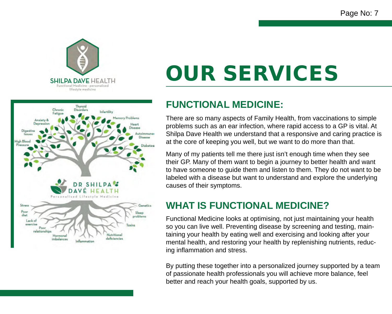



# OUR SERVICES

### **FUNCTIONAL MEDICINE:**

There are so many aspects of Family Health, from vaccinations to simple problems such as an ear infection, where rapid access to a GP is vital. At Shilpa Dave Health we understand that a responsive and caring practice is at the core of keeping you well, but we want to do more than that.

Many of my patients tell me there just isn't enough time when they see their GP. Many of them want to begin a journey to better health and want to have someone to guide them and listen to them. They do not want to be labeled with a disease but want to understand and explore the underlying causes of their symptoms.

## **WHAT IS FUNCTIONAL MEDICINE?**

Functional Medicine looks at optimising, not just maintaining your health so you can live well. Preventing disease by screening and testing, maintaining your health by eating well and exercising and looking after your mental health, and restoring your health by replenishing nutrients, reducing inflammation and stress.

By putting these together into a personalized journey supported by a team of passionate health professionals you will achieve more balance, feel better and reach your health goals, supported by us.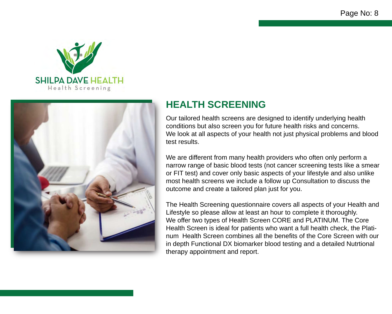



## **HEALTH SCREENING**

Our tailored health screens are designed to identify underlying health conditions but also screen you for future health risks and concerns. We look at all aspects of your health not just physical problems and blood test results.

We are different from many health providers who often only perform a narrow range of basic blood tests (not cancer screening tests like a smear or FIT test) and cover only basic aspects of your lifestyle and also unlike most health screens we include a follow up Consultation to discuss the outcome and create a tailored plan just for you.

The Health Screening questionnaire covers all aspects of your Health and Lifestyle so please allow at least an hour to complete it thoroughly. We offer two types of Health Screen CORE and PLATINUM. The Core Health Screen is ideal for patients who want a full health check, the Platinum Health Screen combines all the benefits of the Core Screen with our in depth Functional DX biomarker blood testing and a detailed Nutrtional therapy appointment and report.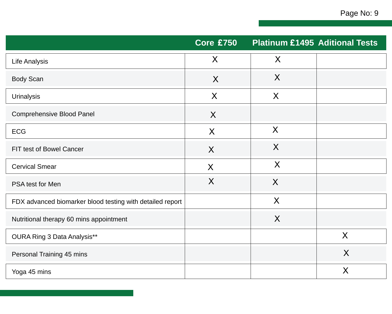|                                                           | <b>Core £750</b> | <b>Platinum £1495 Aditional Tests</b> |   |
|-----------------------------------------------------------|------------------|---------------------------------------|---|
| Life Analysis                                             | $\sf X$          | $\sf X$                               |   |
| <b>Body Scan</b>                                          | X                | X                                     |   |
| <b>Urinalysis</b>                                         | X                | X                                     |   |
| <b>Comprehensive Blood Panel</b>                          | X                |                                       |   |
| <b>ECG</b>                                                | X                | $\sf X$                               |   |
| FIT test of Bowel Cancer                                  | X                | $\sf X$                               |   |
| <b>Cervical Smear</b>                                     | X                | X                                     |   |
| PSA test for Men                                          | X                | X                                     |   |
| FDX advanced biomarker blood testing with detailed report |                  | X                                     |   |
| Nutritional therapy 60 mins appointment                   |                  | $\sf X$                               |   |
| OURA Ring 3 Data Analysis**                               |                  |                                       | X |
| Personal Training 45 mins                                 |                  |                                       | X |
| Yoga 45 mins                                              |                  |                                       | X |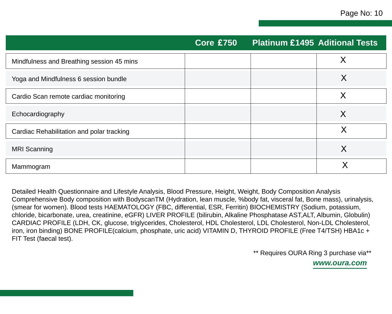|                                           | <b>Core £750</b> | <b>Platinum £1495 Aditional Tests</b> |          |
|-------------------------------------------|------------------|---------------------------------------|----------|
| Mindfulness and Breathing session 45 mins |                  |                                       | $\times$ |
| Yoga and Mindfulness 6 session bundle     |                  |                                       | X        |
| Cardio Scan remote cardiac monitoring     |                  |                                       | $\times$ |
| Echocardiography                          |                  |                                       | X        |
| Cardiac Rehabilitation and polar tracking |                  |                                       | X        |
| <b>MRI</b> Scanning                       |                  |                                       | X        |
| Mammogram                                 |                  |                                       |          |

Detailed Health Questionnaire and Lifestyle Analysis, Blood Pressure, Height, Weight, Body Composition Analysis Comprehensive Body composition with BodyscanTM (Hydration, lean muscle, %body fat, visceral fat, Bone mass), urinalysis, (smear for women). Blood tests HAEMATOLOGY (FBC, differential, ESR, Ferritin) BIOCHEMISTRY (Sodium, potassium, chloride, bicarbonate, urea, creatinine, eGFR) LIVER PROFILE (bilirubin, Alkaline Phosphatase AST,ALT, Albumin, Globulin) CARDIAC PROFILE (LDH, CK, glucose, triglycerides, Cholesterol, HDL Cholesterol, LDL Cholesterol, Non-LDL Cholesterol, iron, iron binding) BONE PROFILE(calcium, phosphate, uric acid) VITAMIN D, THYROID PROFILE (Free T4/TSH) HBA1c + FIT Test (faecal test).

\*\* Requires OURA Ring 3 purchase via\*\*

*www.oura.com*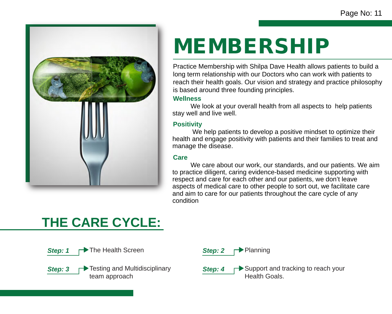

# MEMBERSHIP

Practice Membership with Shilpa Dave Health allows patients to build a long term relationship with our Doctors who can work with patients to reach their health goals. Our vision and strategy and practice philosophy is based around three founding principles.

#### **Wellness**

 We look at your overall health from all aspects to help patients stay well and live well.

### **Positivity**

 We help patients to develop a positive mindset to optimize their health and engage positivity with patients and their families to treat and manage the disease.

### **Care**

 We care about our work, our standards, and our patients. We aim to practice diligent, caring evidence-based medicine supporting with respect and care for each other and our patients, we don't leave aspects of medical care to other people to sort out, we facilitate care and aim to care for our patients throughout the care cycle of any condition

# **THE CARE CYCLE:**

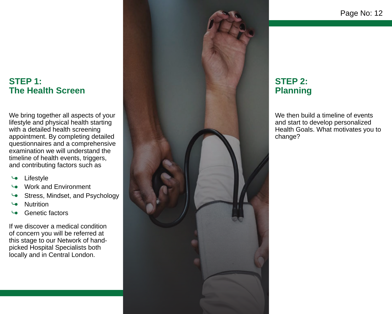### **STEP 1: The Health Screen**

We bring together all aspects of your lifestyle and physical health starting with a detailed health screening appointment. By completing detailed questionnaires and a comprehensive examination we will understand the timeline of health events, triggers, and contributing factors such as

- Lifestyle ●∟
- Work and Environment
- Stress, Mindset, and Psychology
- **Nutrition**
- Genetic factors

If we discover a medical condition of concern you will be referred at this stage to our Network of handpicked Hospital Specialists both locally and in Central London.



### **STEP 2: Planning**

We then build a timeline of events and start to develop personalized Health Goals. What motivates you to change?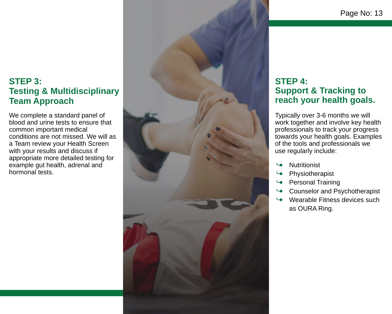### **STEP 3: Testing & Multidisciplinary Team Approach**

We complete a standard panel of blood and urine tests to ensure that common important medical conditions are not missed. We will as a Team review your Health Screen with your results and discuss if appropriate more detailed testing for example gut health, adrenal and hormonal tests.



### **STEP 4: Support & Tracking to reach your health goals.**

Typically over 3-6 months we will work together and involve key health professionals to track your progress towards your health goals. Examples of the tools and professionals we use regularly include:

- **Nutritionist**
- Physiotherapist
- Personal Training
- Counselor and Psychotherapist
- Wearable Fitness devices such as OURA Ring.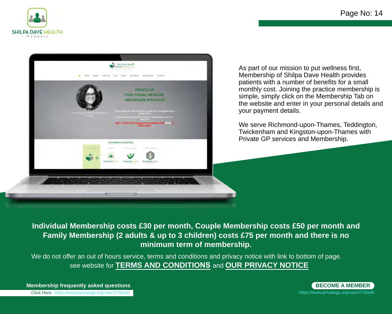



As part of our mission to put wellness first, Membership of Shilpa Dave Health provides patients with a number of benefits for a small monthly cost. Joining the practice membership is simple, simply click on the Membership Tab on the website and enter in your personal details and your payment details.

We serve Richmond-upon-Thames, Teddington, Twickenham and Kingston-upon-Thames with Private GP services and Membership.

**Individual Membership costs £30 per month, Couple Membership costs £50 per month and Family Membership (2 adults & up to 3 children) costs £75 per month and there is no minimum term of membership.** 

We do not offer an out of hours service, terms and conditions and privacy notice with link to bottom of page. see website for **TERMS AND CONDITIONS** and **OUR PRIVACY NOTICE**

Click Here: https://www.privategp.org/user/276/edit **Membership frequently asked questions**